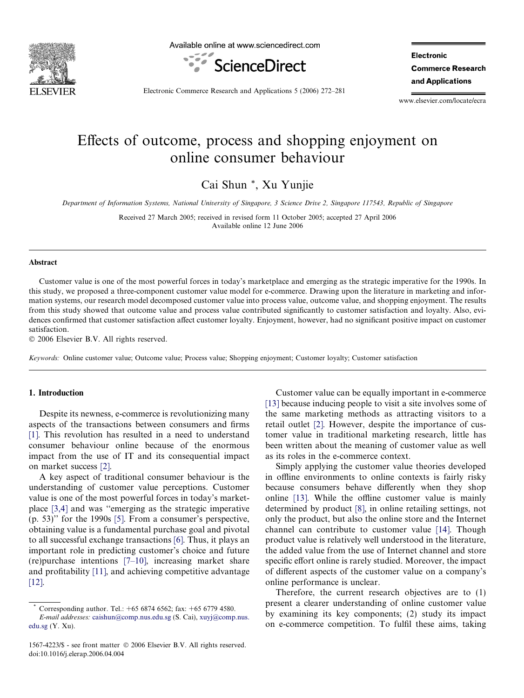

Available online at www.sciencedirect.com



**Electronic Commerce Research** and Applications

Electronic Commerce Research and Applications 5 (2006) 272–281

www.elsevier.com/locate/ecra

## Effects of outcome, process and shopping enjoyment on online consumer behaviour

Cai Shun \*, Xu Yunjie

Department of Information Systems, National University of Singapore, 3 Science Drive 2, Singapore 117543, Republic of Singapore

Received 27 March 2005; received in revised form 11 October 2005; accepted 27 April 2006 Available online 12 June 2006

#### Abstract

Customer value is one of the most powerful forces in today's marketplace and emerging as the strategic imperative for the 1990s. In this study, we proposed a three-component customer value model for e-commerce. Drawing upon the literature in marketing and information systems, our research model decomposed customer value into process value, outcome value, and shopping enjoyment. The results from this study showed that outcome value and process value contributed significantly to customer satisfaction and loyalty. Also, evidences confirmed that customer satisfaction affect customer loyalty. Enjoyment, however, had no significant positive impact on customer satisfaction.

© 2006 Elsevier B.V. All rights reserved.

Keywords: Online customer value; Outcome value; Process value; Shopping enjoyment; Customer loyalty; Customer satisfaction

### 1. Introduction

Despite its newness, e-commerce is revolutionizing many aspects of the transactions between consumers and firms [\[1\]](#page--1-0). This revolution has resulted in a need to understand consumer behaviour online because of the enormous impact from the use of IT and its consequential impact on market success [\[2\]](#page--1-0).

A key aspect of traditional consumer behaviour is the understanding of customer value perceptions. Customer value is one of the most powerful forces in today's marketplace [\[3,4\]](#page--1-0) and was ''emerging as the strategic imperative (p. 53)'' for the 1990s [\[5\]](#page--1-0). From a consumer's perspective, obtaining value is a fundamental purchase goal and pivotal to all successful exchange transactions [\[6\].](#page--1-0) Thus, it plays an important role in predicting customer's choice and future (re)purchase intentions [\[7–10\]](#page--1-0), increasing market share and profitability [\[11\]](#page--1-0), and achieving competitive advantage [\[12\]](#page--1-0).

Customer value can be equally important in e-commerce [\[13\]](#page--1-0) because inducing people to visit a site involves some of the same marketing methods as attracting visitors to a retail outlet [\[2\]](#page--1-0). However, despite the importance of customer value in traditional marketing research, little has been written about the meaning of customer value as well as its roles in the e-commerce context.

Simply applying the customer value theories developed in offline environments to online contexts is fairly risky because consumers behave differently when they shop online [\[13\].](#page--1-0) While the offline customer value is mainly determined by product [\[8\]](#page--1-0), in online retailing settings, not only the product, but also the online store and the Internet channel can contribute to customer value [\[14\]](#page--1-0). Though product value is relatively well understood in the literature, the added value from the use of Internet channel and store specific effort online is rarely studied. Moreover, the impact of different aspects of the customer value on a company's online performance is unclear.

Therefore, the current research objectives are to (1) present a clearer understanding of online customer value by examining its key components; (2) study its impact on e-commerce competition. To fulfil these aims, taking

Corresponding author. Tel.: +65 6874 6562; fax: +65 6779 4580. E-mail addresses: [caishun@comp.nus.edu.sg](mailto:caishun@comp.nus.edu.sg) (S. Cai), [xuyj@comp.nus.](mailto:xuyj@comp.nus.edu.sg) [edu.sg](mailto:xuyj@comp.nus.edu.sg) (Y. Xu).

<sup>1567-4223/\$ -</sup> see front matter © 2006 Elsevier B.V. All rights reserved. doi:10.1016/j.elerap.2006.04.004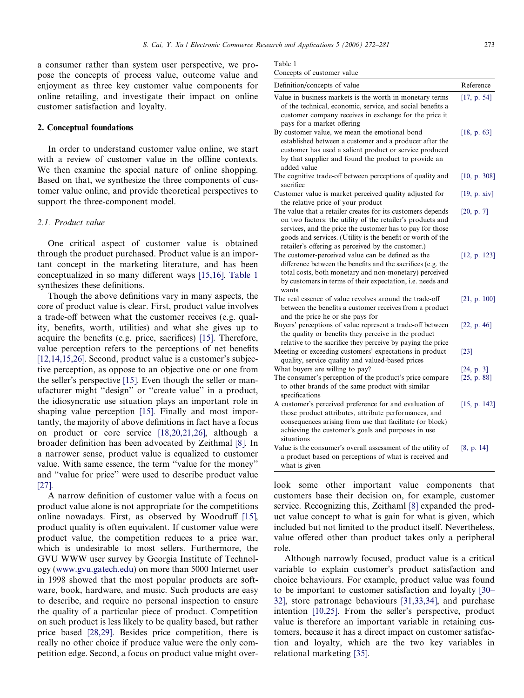a consumer rather than system user perspective, we propose the concepts of process value, outcome value and enjoyment as three key customer value components for online retailing, and investigate their impact on online customer satisfaction and loyalty.

#### 2. Conceptual foundations

In order to understand customer value online, we start with a review of customer value in the offline contexts. We then examine the special nature of online shopping. Based on that, we synthesize the three components of customer value online, and provide theoretical perspectives to support the three-component model.

#### 2.1. Product value

One critical aspect of customer value is obtained through the product purchased. Product value is an important concept in the marketing literature, and has been conceptualized in so many different ways [\[15,16\]](#page--1-0). Table 1 synthesizes these definitions.

Though the above definitions vary in many aspects, the core of product value is clear. First, product value involves a trade-off between what the customer receives (e.g. quality, benefits, worth, utilities) and what she gives up to acquire the benefits (e.g. price, sacrifices) [\[15\]](#page--1-0). Therefore, value perception refers to the perceptions of net benefits [\[12,14,15,26\].](#page--1-0) Second, product value is a customer's subjective perception, as oppose to an objective one or one from the seller's perspective [\[15\]](#page--1-0). Even though the seller or manufacturer might ''design'' or ''create value'' in a product, the idiosyncratic use situation plays an important role in shaping value perception [\[15\].](#page--1-0) Finally and most importantly, the majority of above definitions in fact have a focus on product or core service [\[18,20,21,26\]](#page--1-0), although a broader definition has been advocated by Zeithmal [\[8\]](#page--1-0). In a narrower sense, product value is equalized to customer value. With same essence, the term ''value for the money'' and ''value for price'' were used to describe product value [\[27\].](#page--1-0)

A narrow definition of customer value with a focus on product value alone is not appropriate for the competitions online nowadays. First, as observed by Woodruff [\[15\],](#page--1-0) product quality is often equivalent. If customer value were product value, the competition reduces to a price war, which is undesirable to most sellers. Furthermore, the GVU WWW user survey by Georgia Institute of Technology ([www.gvu.gatech.edu\)](http://www.gvu.gatech.edu) on more than 5000 Internet user in 1998 showed that the most popular products are software, book, hardware, and music. Such products are easy to describe, and require no personal inspection to ensure the quality of a particular piece of product. Competition on such product is less likely to be quality based, but rather price based [\[28,29\]](#page--1-0). Besides price competition, there is really no other choice if produce value were the only competition edge. Second, a focus on product value might over-

| Concepts of customer value |  |
|----------------------------|--|
|----------------------------|--|

| Definition/concepts of value                                                                                                                                                                                                                                                                                | Reference                 |
|-------------------------------------------------------------------------------------------------------------------------------------------------------------------------------------------------------------------------------------------------------------------------------------------------------------|---------------------------|
| Value in business markets is the worth in monetary terms<br>of the technical, economic, service, and social benefits a<br>customer company receives in exchange for the price it<br>pays for a market offering                                                                                              | [17, p. 54]               |
| By customer value, we mean the emotional bond<br>established between a customer and a producer after the<br>customer has used a salient product or service produced<br>by that supplier and found the product to provide an<br>added value                                                                  | [18, p. 63]               |
| The cognitive trade-off between perceptions of quality and<br>sacrifice                                                                                                                                                                                                                                     | [10, p. 308]              |
| Customer value is market perceived quality adjusted for<br>the relative price of your product                                                                                                                                                                                                               | [19, p. xiv]              |
| The value that a retailer creates for its customers depends<br>on two factors: the utility of the retailer's products and<br>services, and the price the customer has to pay for those<br>goods and services. (Utility is the benefit or worth of the<br>retailer's offering as perceived by the customer.) | [20, p. 7]                |
| The customer-perceived value can be defined as the<br>difference between the benefits and the sacrifices (e.g. the<br>total costs, both monetary and non-monetary) perceived<br>by customers in terms of their expectation, i.e. needs and<br>wants                                                         | [12, p. 123]              |
| The real essence of value revolves around the trade-off<br>between the benefits a customer receives from a product<br>and the price he or she pays for                                                                                                                                                      | [21, p. 100]              |
| Buyers' perceptions of value represent a trade-off between<br>the quality or benefits they perceive in the product<br>relative to the sacrifice they perceive by paying the price                                                                                                                           | [22, p. 46]               |
| Meeting or exceeding customers' expectations in product<br>quality, service quality and valued-based prices                                                                                                                                                                                                 | $\lceil 23 \rceil$        |
| What buyers are willing to pay?<br>The consumer's perception of the product's price compare<br>to other brands of the same product with similar<br>specifications                                                                                                                                           | [24, p. 3]<br>[25, p. 88] |
| A customer's perceived preference for and evaluation of<br>those product attributes, attribute performances, and<br>consequences arising from use that facilitate (or block)<br>achieving the customer's goals and purposes in use<br>situations                                                            | [15, p. 142]              |
| Value is the consumer's overall assessment of the utility of<br>a product based on perceptions of what is received and<br>what is given                                                                                                                                                                     | [8, p. 14]                |

look some other important value components that customers base their decision on, for example, customer service. Recognizing this, Zeithaml [\[8\]](#page--1-0) expanded the product value concept to what is gain for what is given, which included but not limited to the product itself. Nevertheless, value offered other than product takes only a peripheral role.

Although narrowly focused, product value is a critical variable to explain customer's product satisfaction and choice behaviours. For example, product value was found to be important to customer satisfaction and loyalty [\[30–](#page--1-0) [32\]](#page--1-0), store patronage behaviours [\[31,33,34\],](#page--1-0) and purchase intention [\[10,25\]](#page--1-0). From the seller's perspective, product value is therefore an important variable in retaining customers, because it has a direct impact on customer satisfaction and loyalty, which are the two key variables in relational marketing [\[35\].](#page--1-0)